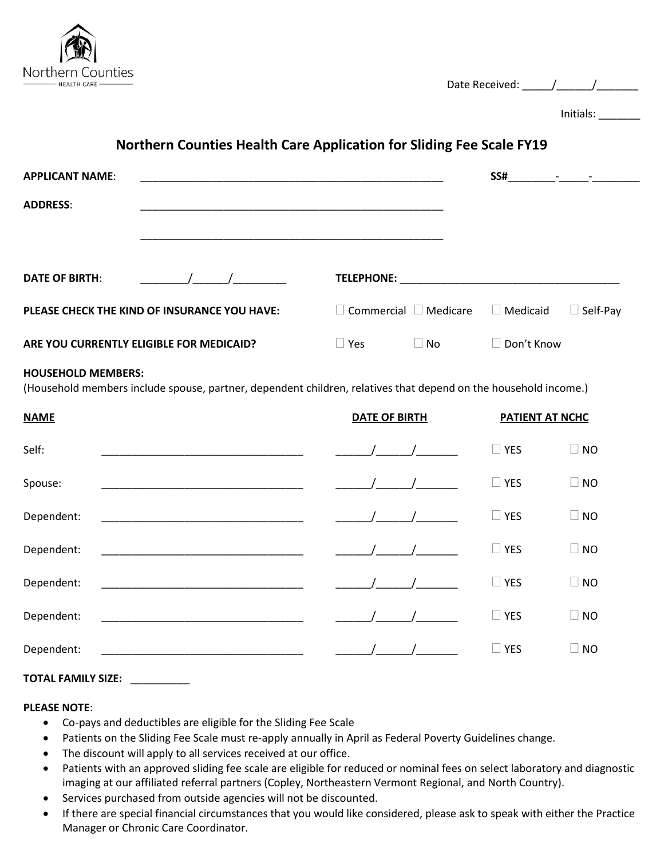

| Date Received: |  |
|----------------|--|
|                |  |

Initials: \_\_\_\_\_\_\_

# **Northern Counties Health Care Application for Sliding Fee Scale FY19**

| <b>APPLICANT NAME:</b>                                                                                                                       |                                                             |                                   |           |                   | $SS#$ $\qquad  \qquad -$ |
|----------------------------------------------------------------------------------------------------------------------------------------------|-------------------------------------------------------------|-----------------------------------|-----------|-------------------|--------------------------|
| <b>ADDRESS:</b>                                                                                                                              | <u> 1989 - Johann Stoff, amerikansk politiker (d. 1989)</u> |                                   |           |                   |                          |
|                                                                                                                                              |                                                             |                                   |           |                   |                          |
| <b>DATE OF BIRTH:</b>                                                                                                                        | $\sqrt{2}$                                                  |                                   |           |                   |                          |
|                                                                                                                                              | PLEASE CHECK THE KIND OF INSURANCE YOU HAVE:                | $\Box$ Commercial $\Box$ Medicare |           | $\Box$ Medicaid   | $\Box$ Self-Pay          |
| ARE YOU CURRENTLY ELIGIBLE FOR MEDICAID?                                                                                                     |                                                             | $\Box$ Yes                        | $\Box$ No | $\Box$ Don't Know |                          |
| <b>HOUSEHOLD MEMBERS:</b><br>(Household members include spouse, partner, dependent children, relatives that depend on the household income.) |                                                             |                                   |           |                   |                          |
| <b>NAME</b>                                                                                                                                  |                                                             | DATE OF BIRTH                     |           | PATIENT AT NCHC   |                          |
| Self:                                                                                                                                        |                                                             |                                   |           | $\Box$ YES        | $\Box$ NO                |
| Spouse:                                                                                                                                      |                                                             |                                   |           | $\Box$ YES        | $\Box$ NO                |
| Dependent:                                                                                                                                   |                                                             |                                   |           | $\Box$ YES        | $\Box$ NO                |
| Dependent:                                                                                                                                   |                                                             |                                   |           | $\Box$ YES        | $\Box$ NO                |
| Dependent:                                                                                                                                   |                                                             |                                   |           | $\Box$ YES        | $\Box$ NO                |
| Dependent:                                                                                                                                   | <u> 1980 - Jan Barnett, fransk politik (d. 1980)</u>        |                                   |           | $\Box$ YES        | $\Box$ NO                |

# Dependent: \_\_\_\_\_\_\_\_\_\_\_\_\_\_\_\_\_\_\_\_\_\_\_\_\_\_\_\_\_\_\_\_\_\_ \_\_\_\_\_\_/\_\_\_\_\_\_/\_\_\_\_\_\_\_ YES NO

## **TOTAL FAMILY SIZE:** \_\_\_\_\_\_\_\_\_\_

### **PLEASE NOTE**:

- Co-pays and deductibles are eligible for the Sliding Fee Scale
- Patients on the Sliding Fee Scale must re-apply annually in April as Federal Poverty Guidelines change.
- The discount will apply to all services received at our office.
- Patients with an approved sliding fee scale are eligible for reduced or nominal fees on select laboratory and diagnostic imaging at our affiliated referral partners (Copley, Northeastern Vermont Regional, and North Country).
- Services purchased from outside agencies will not be discounted.
- If there are special financial circumstances that you would like considered, please ask to speak with either the Practice Manager or Chronic Care Coordinator.